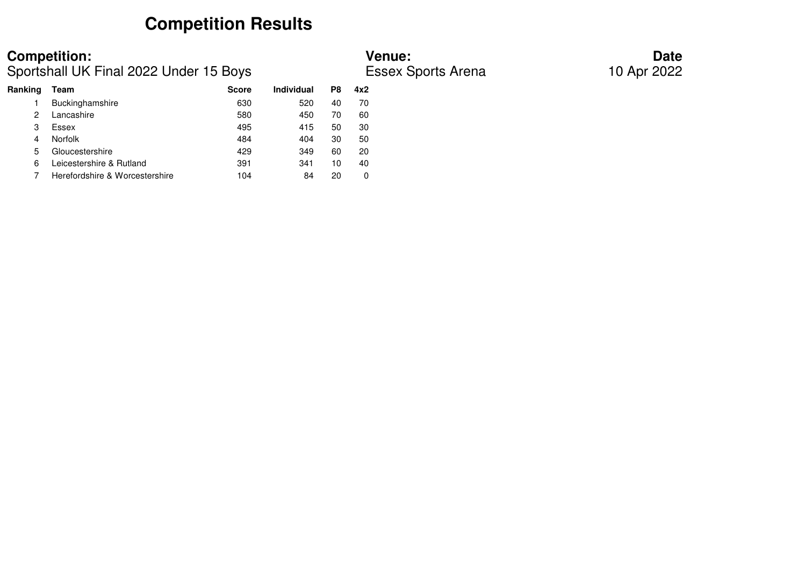## **Competition Results**

### **Competition:**<br> **Competition:**<br> **Date**<br> **Competition:**<br> **Date**<br> **Date**<br> **Date**<br> **Date**<br> **Date**<br> **Date**<br> **Date**<br> **Date**<br> **Date**<br> **Date**<br> **Date**<br> **Date**<br> **Date**<br> **Date** Sportshall UK Final 2022 Under 15 Boys

### **Ranking Team Score Individual P8 4x2** 1 Buckinghamshire 630 630 520 40 70 60 2 Lancashire 580 450 70 30 3 Essex 495 415 50 3050 4 Norfolk 484 404 30 5020 5 Gloucestershire 129 429 349 60 40 6 Leicestershire & Rutland 391 341 10  $\mathbf 0$ 7 Herefordshire & Worcestershire 104 84 20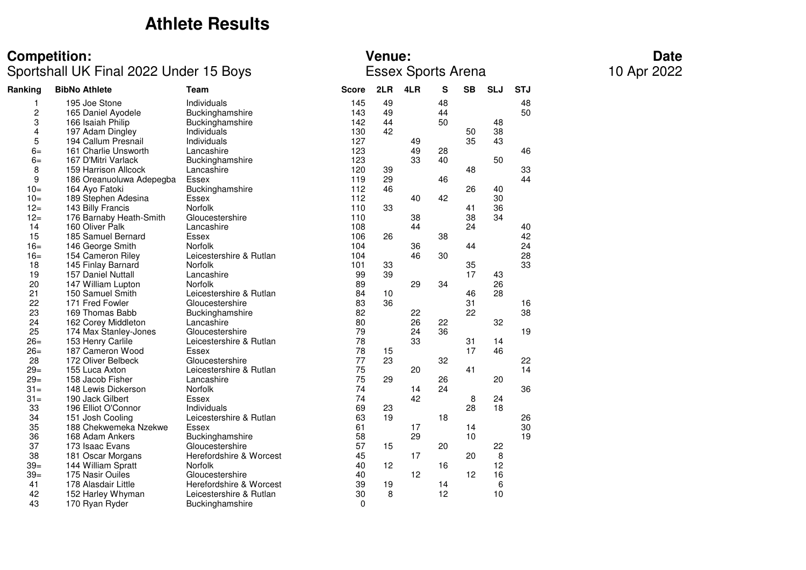## **Athlete Results**

### **Competition: Venue: Date**

### Sportshall UK Final 2022 Under 15 Boys Essex Sports Arena 10 Apr 2022

| Ranking | <b>BibNo Athlete</b>     | <b>Team</b>             | <b>Score</b> | 2LR | 4LR | S  | <b>SB</b> | <b>SLJ</b> | <b>STJ</b> |
|---------|--------------------------|-------------------------|--------------|-----|-----|----|-----------|------------|------------|
| 1       | 195 Joe Stone            | Individuals             | 145          | 49  |     | 48 |           |            | 48         |
| 2       | 165 Daniel Ayodele       | Buckinghamshire         | 143          | 49  |     | 44 |           |            | 50         |
| 3       | 166 Isaiah Philip        | Buckinghamshire         | 142          | 44  |     | 50 |           | 48         |            |
| 4       | 197 Adam Dingley         | Individuals             | 130          | 42  |     |    | 50        | 38         |            |
| 5       | 194 Callum Presnail      | Individuals             | 127          |     | 49  |    | 35        | 43         |            |
| $6=$    | 161 Charlie Unsworth     | Lancashire              | 123          |     | 49  | 28 |           |            | 46         |
| $6=$    | 167 D'Mitri Varlack      | Buckinghamshire         | 123          |     | 33  | 40 |           | 50         |            |
| 8       | 159 Harrison Allcock     | Lancashire              | 120          | 39  |     |    | 48        |            | 33         |
| 9       | 186 Oreanuoluwa Adepegba | Essex                   | 119          | 29  |     | 46 |           |            | 44         |
| $10=$   | 164 Ayo Fatoki           | Buckinghamshire         | 112          | 46  |     |    | 26        | 40         |            |
| $10=$   | 189 Stephen Adesina      | Essex                   | 112          |     | 40  | 42 |           | 30         |            |
| $12 =$  | 143 Billy Francis        | Norfolk                 | 110          | 33  |     |    | 41        | 36         |            |
| $12 =$  | 176 Barnaby Heath-Smith  | Gloucestershire         | 110          |     | 38  |    | 38        | 34         |            |
| 14      | 160 Oliver Palk          | Lancashire              | 108          |     | 44  |    | 24        |            | 40         |
| 15      | 185 Samuel Bernard       | Essex                   | 106          | 26  |     | 38 |           |            | 42         |
| $16=$   | 146 George Smith         | Norfolk                 | 104          |     | 36  |    | 44        |            | 24         |
| $16=$   | 154 Cameron Riley        | Leicestershire & Rutlan | 104          |     | 46  | 30 |           |            | 28         |
| 18      | 145 Finlay Barnard       | <b>Norfolk</b>          | 101          | 33  |     |    | 35        |            | 33         |
| 19      | 157 Daniel Nuttall       | Lancashire              | 99           | 39  |     |    | 17        | 43         |            |
| 20      | 147 William Lupton       | <b>Norfolk</b>          | 89           |     | 29  | 34 |           | 26         |            |
| 21      | 150 Samuel Smith         | Leicestershire & Rutlan | 84           | 10  |     |    | 46        | 28         |            |
| 22      | 171 Fred Fowler          | Gloucestershire         | 83           | 36  |     |    | 31        |            | 16         |
| 23      | 169 Thomas Babb          | Buckinghamshire         | 82           |     | 22  |    | 22        |            | 38         |
| 24      | 162 Corey Middleton      | Lancashire              | 80           |     | 26  | 22 |           | 32         |            |
| 25      | 174 Max Stanley-Jones    | Gloucestershire         | 79           |     | 24  | 36 |           |            | 19         |
| $26=$   | 153 Henry Carlile        | Leicestershire & Rutlan | 78           |     | 33  |    | 31        | 14         |            |
| $26=$   | 187 Cameron Wood         | Essex                   | 78           | 15  |     |    | 17        | 46         |            |
| 28      | 172 Oliver Belbeck       | Gloucestershire         | 77           | 23  |     | 32 |           |            | 22         |
| $29=$   | 155 Luca Axton           | Leicestershire & Rutlan | 75           |     | 20  |    | 41        |            | 14         |
| $29=$   | 158 Jacob Fisher         | Lancashire              | 75           | 29  |     | 26 |           | 20         |            |
| $31 =$  | 148 Lewis Dickerson      | <b>Norfolk</b>          | 74           |     | 14  | 24 |           |            | 36         |
| $31 =$  | 190 Jack Gilbert         | <b>Essex</b>            | 74           |     | 42  |    | 8         | 24         |            |
| 33      | 196 Elliot O'Connor      | Individuals             | 69           | 23  |     |    | 28        | 18         |            |
| 34      | 151 Josh Cooling         | Leicestershire & Rutlan | 63           | 19  |     | 18 |           |            | 26         |
| 35      | 188 Chekwemeka Nzekwe    | <b>Essex</b>            | 61           |     | 17  |    | 14        |            | 30         |
| 36      | 168 Adam Ankers          | Buckinghamshire         | 58           |     | 29  |    | 10        |            | 19         |
| 37      | 173 Isaac Evans          | Gloucestershire         | 57           | 15  |     | 20 |           | 22         |            |
| 38      | 181 Oscar Morgans        | Herefordshire & Worcest | 45           |     | 17  |    | 20        | 8          |            |
| $39=$   | 144 William Spratt       | <b>Norfolk</b>          | 40           | 12  |     | 16 |           | 12         |            |
| $39=$   | 175 Nasir Ouiles         | Gloucestershire         | 40           |     | 12  |    | 12        | 16         |            |
| 41      | 178 Alasdair Little      | Herefordshire & Worcest | 39           | 19  |     | 14 |           | 6          |            |
| 42      | 152 Harley Whyman        | Leicestershire & Rutlan | 30           | 8   |     | 12 |           | 10         |            |
| 43      | 170 Ryan Ryder           | Buckinghamshire         | 0            |     |     |    |           |            |            |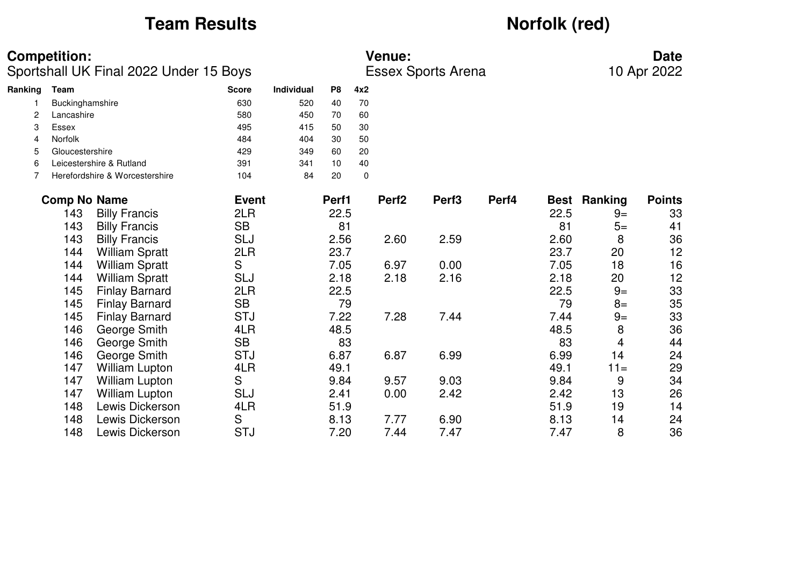## **Team Results** *Norfolk (red)*

### **Competition: Venue: Date**

Sportshall UK Final 2022 Under 15 Boys Essex Sports Arena 10 Apr 2022

| Ranking | Team                           | <b>Score</b> | <b>Individual</b> | P <sub>8</sub> | 4x2 |
|---------|--------------------------------|--------------|-------------------|----------------|-----|
|         | Buckinghamshire                | 630          | 520               | 40             | 70  |
| 2       | Lancashire                     | 580          | 450               | 70             | 60  |
| 3       | Essex                          | 495          | 415               | 50             | 30  |
| 4       | <b>Norfolk</b>                 | 484          | 404               | 30             | 50  |
| 5       | Gloucestershire                | 429          | 349               | 60             | 20  |
| 6       | Leicestershire & Rutland       | 391          | 341               | 10             | 40  |
|         | Herefordshire & Worcestershire | 104          | 84                | 20             | 0   |
|         |                                |              |                   |                |     |

| <b>Comp No Name</b> |                       | <b>Event</b> | Perf1 | Perf <sub>2</sub> | Perf <sub>3</sub> | Perf4 |      | <b>Best Ranking</b> | <b>Points</b> |
|---------------------|-----------------------|--------------|-------|-------------------|-------------------|-------|------|---------------------|---------------|
| 143                 | <b>Billy Francis</b>  | 2LR          | 22.5  |                   |                   |       | 22.5 | $9=$                | 33            |
| 143                 | <b>Billy Francis</b>  | <b>SB</b>    | 81    |                   |                   |       | 81   | $5=$                | 41            |
| 143                 | <b>Billy Francis</b>  | <b>SLJ</b>   | 2.56  | 2.60              | 2.59              |       | 2.60 | 8                   | 36            |
| 144                 | <b>William Spratt</b> | 2LR          | 23.7  |                   |                   |       | 23.7 | 20                  | 12            |
| 144                 | <b>William Spratt</b> | S            | 7.05  | 6.97              | 0.00              |       | 7.05 | 18                  | 16            |
| 144                 | <b>William Spratt</b> | <b>SLJ</b>   | 2.18  | 2.18              | 2.16              |       | 2.18 | 20                  | 12            |
| 145                 | <b>Finlay Barnard</b> | 2LR          | 22.5  |                   |                   |       | 22.5 | $9=$                | 33            |
| 145                 | <b>Finlay Barnard</b> | <b>SB</b>    | 79    |                   |                   |       | 79   | $8=$                | 35            |
| 145                 | <b>Finlay Barnard</b> | <b>STJ</b>   | 7.22  | 7.28              | 7.44              |       | 7.44 | $9=$                | 33            |
| 146                 | George Smith          | 4LR          | 48.5  |                   |                   |       | 48.5 | 8                   | 36            |
| 146                 | George Smith          | <b>SB</b>    | 83    |                   |                   |       | 83   | 4                   | 44            |
| 146                 | George Smith          | <b>STJ</b>   | 6.87  | 6.87              | 6.99              |       | 6.99 | 14                  | 24            |
| 147                 | <b>William Lupton</b> | 4LR          | 49.1  |                   |                   |       | 49.1 | $11 =$              | 29            |
| 147                 | <b>William Lupton</b> | S            | 9.84  | 9.57              | 9.03              |       | 9.84 | 9                   | 34            |
| 147                 | <b>William Lupton</b> | <b>SLJ</b>   | 2.41  | 0.00              | 2.42              |       | 2.42 | 13                  | 26            |
| 148                 | Lewis Dickerson       | 4LR          | 51.9  |                   |                   |       | 51.9 | 19                  | 14            |
| 148                 | Lewis Dickerson       | S            | 8.13  | 7.77              | 6.90              |       | 8.13 | 14                  | 24            |
| 148                 | Lewis Dickerson       | <b>STJ</b>   | 7.20  | 7.44              | 7.47              |       | 7.47 | 8                   | 36            |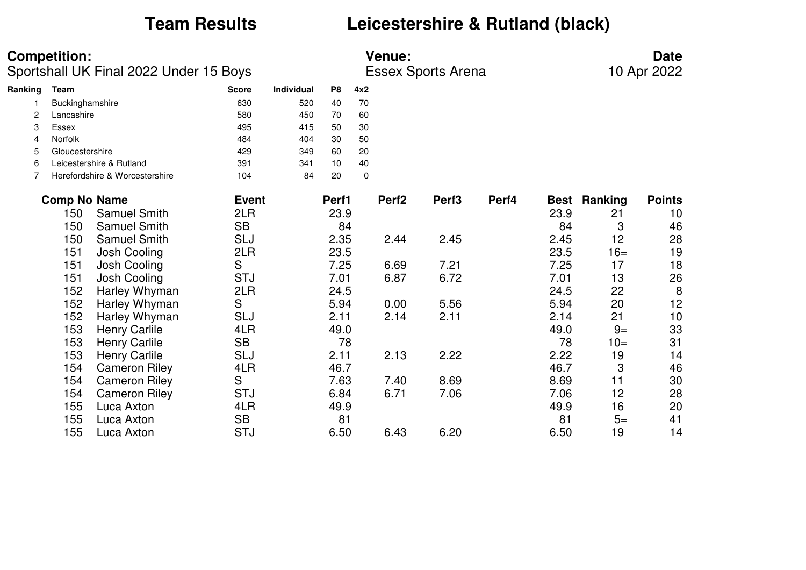## **Team Results Leicestershire & Rutland (black)**

**Competition:**<br> **Date**<br>
Sportshall UK Final 2022 Under 15 Boys<br>
Essex Sports Arena 10 Apr 2022 Sportshall UK Final 2022 Under 15 Boys

| Ranking | Team                           | <b>Score</b> | Individual | P8 | 4x2 |
|---------|--------------------------------|--------------|------------|----|-----|
|         | Buckinghamshire                | 630          | 520        | 40 | 70  |
| 2       | Lancashire                     | 580          | 450        | 70 | 60  |
| 3       | Essex                          | 495          | 415        | 50 | 30  |
| 4       | <b>Norfolk</b>                 | 484          | 404        | 30 | 50  |
| 5       | Gloucestershire                | 429          | 349        | 60 | 20  |
| 6       | Leicestershire & Rutland       | 391          | 341        | 10 | 40  |
|         | Herefordshire & Worcestershire | 104          | 84         | 20 | 0   |
|         |                                |              |            |    |     |

| <b>Comp No Name</b> |                      | <b>Event</b> | Perf1 | Perf <sub>2</sub> | Perf <sub>3</sub> | Perf4 | <b>Best</b> | <b>Ranking</b> | <b>Points</b> |
|---------------------|----------------------|--------------|-------|-------------------|-------------------|-------|-------------|----------------|---------------|
| 150                 | <b>Samuel Smith</b>  | 2LR          | 23.9  |                   |                   |       | 23.9        | 21             | 10            |
| 150                 | <b>Samuel Smith</b>  | <b>SB</b>    | 84    |                   |                   |       | 84          | 3              | 46            |
| 150                 | <b>Samuel Smith</b>  | <b>SLJ</b>   | 2.35  | 2.44              | 2.45              |       | 2.45        | 12             | 28            |
| 151                 | Josh Cooling         | 2LR          | 23.5  |                   |                   |       | 23.5        | $16=$          | 19            |
| 151                 | Josh Cooling         | S            | 7.25  | 6.69              | 7.21              |       | 7.25        | 17             | 18            |
| 151                 | Josh Cooling         | <b>STJ</b>   | 7.01  | 6.87              | 6.72              |       | 7.01        | 13             | 26            |
| 152                 | Harley Whyman        | 2LR          | 24.5  |                   |                   |       | 24.5        | 22             | 8             |
| 152                 | Harley Whyman        | S            | 5.94  | 0.00              | 5.56              |       | 5.94        | 20             | 12            |
| 152                 | Harley Whyman        | <b>SLJ</b>   | 2.11  | 2.14              | 2.11              |       | 2.14        | 21             | 10            |
| 153                 | <b>Henry Carlile</b> | 4LR          | 49.0  |                   |                   |       | 49.0        | $9=$           | 33            |
| 153                 | <b>Henry Carlile</b> | <b>SB</b>    | 78    |                   |                   |       | 78          | $10=$          | 31            |
| 153                 | <b>Henry Carlile</b> | <b>SLJ</b>   | 2.11  | 2.13              | 2.22              |       | 2.22        | 19             | 14            |
| 154                 | <b>Cameron Riley</b> | 4LR          | 46.7  |                   |                   |       | 46.7        | 3              | 46            |
| 154                 | <b>Cameron Riley</b> | S            | 7.63  | 7.40              | 8.69              |       | 8.69        | 11             | 30            |
| 154                 | <b>Cameron Riley</b> | <b>STJ</b>   | 6.84  | 6.71              | 7.06              |       | 7.06        | 12             | 28            |
| 155                 | Luca Axton           | 4LR          | 49.9  |                   |                   |       | 49.9        | 16             | 20            |
| 155                 | Luca Axton           | <b>SB</b>    | 81    |                   |                   |       | 81          | $5=$           | 41            |
| 155                 | Luca Axton           | <b>STJ</b>   | 6.50  | 6.43              | 6.20              |       | 6.50        | 19             | 14            |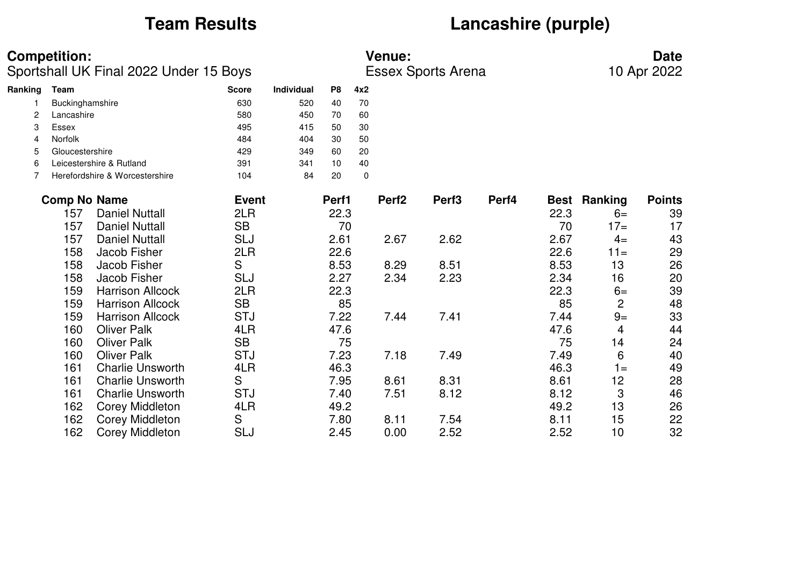## **Team Results Lancashire (purple)**

|         | <b>Competition:</b><br>Sportshall UK Final 2022 Under 15 Boys |                                |              |                   |                |             | <b>Venue:</b><br><b>Essex Sports Arena</b> |                   | <b>Date</b><br>10 Apr 2022 |      |                     |               |
|---------|---------------------------------------------------------------|--------------------------------|--------------|-------------------|----------------|-------------|--------------------------------------------|-------------------|----------------------------|------|---------------------|---------------|
| Ranking | Team                                                          |                                | <b>Score</b> | <b>Individual</b> | P <sub>8</sub> | 4x2         |                                            |                   |                            |      |                     |               |
|         | Buckinghamshire                                               |                                | 630          | 520               | 40             | 70          |                                            |                   |                            |      |                     |               |
| 2       | Lancashire                                                    |                                | 580          | 450               | 70             | 60          |                                            |                   |                            |      |                     |               |
| 3       | <b>Essex</b>                                                  |                                | 495          | 415               | 50             | 30          |                                            |                   |                            |      |                     |               |
| 4       | <b>Norfolk</b>                                                |                                | 484          | 404               | 30             | 50          |                                            |                   |                            |      |                     |               |
| 5       | Gloucestershire                                               |                                | 429          | 349               | 60             | 20          |                                            |                   |                            |      |                     |               |
| 6       |                                                               | Leicestershire & Rutland       | 391          | 341               | 10             | 40          |                                            |                   |                            |      |                     |               |
| 7       |                                                               | Herefordshire & Worcestershire | 104          | 84                | 20             | $\mathbf 0$ |                                            |                   |                            |      |                     |               |
|         | <b>Comp No Name</b>                                           |                                | <b>Event</b> |                   | Perf1          |             | Perf <sub>2</sub>                          | Perf <sub>3</sub> | Perf4                      |      | <b>Best Ranking</b> | <b>Points</b> |
|         | 157                                                           | <b>Daniel Nuttall</b>          | 2LR          |                   | 22.3           |             |                                            |                   |                            | 22.3 | $6=$                | 39            |
|         | 157                                                           | <b>Daniel Nuttall</b>          | <b>SB</b>    |                   | 70             |             |                                            |                   |                            | 70   | $17=$               | 17            |
|         | 157                                                           | <b>Daniel Nuttall</b>          | <b>SLJ</b>   |                   | 2.61           |             | 2.67                                       | 2.62              |                            | 2.67 | $4=$                | 43            |
|         | 158                                                           | Jacob Fisher                   | 2LR          |                   | 22.6           |             |                                            |                   |                            | 22.6 | $11 =$              | 29            |
|         | 158                                                           | Jacob Fisher                   | S            |                   | 8.53           |             | 8.29                                       | 8.51              |                            | 8.53 | 13                  | 26            |
|         | 158                                                           | Jacob Fisher                   | <b>SLJ</b>   |                   | 2.27           |             | 2.34                                       | 2.23              |                            | 2.34 | 16                  | 20            |
|         | 159                                                           | <b>Harrison Allcock</b>        | 2LR          |                   | 22.3           |             |                                            |                   |                            | 22.3 | $6=$                | 39            |
|         | 159                                                           | <b>Harrison Allcock</b>        | <b>SB</b>    |                   | 85             |             |                                            |                   |                            | 85   | $\overline{c}$      | 48            |
|         | 159                                                           | <b>Harrison Allcock</b>        | <b>STJ</b>   |                   | 7.22           |             | 7.44                                       | 7.41              |                            | 7.44 | $9=$                | 33            |
|         | 160                                                           | <b>Oliver Palk</b>             | 4LR          |                   | 47.6           |             |                                            |                   |                            | 47.6 | 4                   | 44            |
|         | 160                                                           | <b>Oliver Palk</b>             | <b>SB</b>    |                   | 75             |             |                                            |                   |                            | 75   | 14                  | 24            |
|         | 160                                                           | <b>Oliver Palk</b>             | <b>STJ</b>   |                   | 7.23           |             | 7.18                                       | 7.49              |                            | 7.49 | 6                   | 40            |
|         | 161                                                           | <b>Charlie Unsworth</b>        | 4LR          |                   | 46.3           |             |                                            |                   |                            | 46.3 | $1 =$               | 49            |
|         | 161                                                           | <b>Charlie Unsworth</b>        | S            |                   | 7.95           |             | 8.61                                       | 8.31              |                            | 8.61 | 12                  | 28            |
|         | 161                                                           | <b>Charlie Unsworth</b>        | <b>STJ</b>   |                   | 7.40           |             | 7.51                                       | 8.12              |                            | 8.12 | 3                   | 46            |
|         | 162                                                           | <b>Corey Middleton</b>         | 4LR          |                   | 49.2           |             |                                            |                   |                            | 49.2 | 13                  | 26            |
|         | 162                                                           | <b>Corey Middleton</b>         | S            |                   | 7.80           |             | 8.11                                       | 7.54              |                            | 8.11 | 15                  | 22            |
|         | 162                                                           | <b>Corey Middleton</b>         | <b>SLJ</b>   |                   | 2.45           |             | 0.00                                       | 2.52              |                            | 2.52 | 10                  | 32            |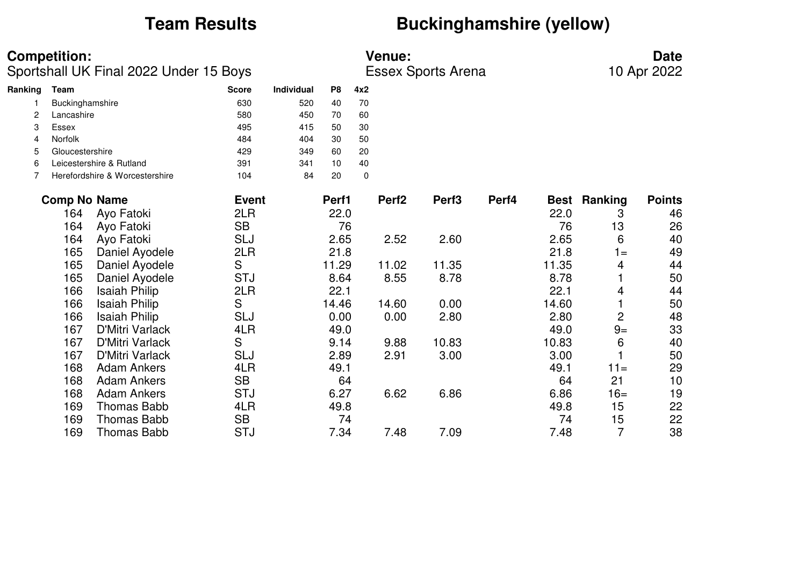## **Team Results** *Buckinghamshire (yellow)*

|         | <b>Competition:</b><br>Sportshall UK Final 2022 Under 15 Boys |                                |              |                   |                |     | <b>Venue:</b><br><b>Essex Sports Arena</b> | <b>Date</b><br>10 Apr 2022 |       |       |                     |               |
|---------|---------------------------------------------------------------|--------------------------------|--------------|-------------------|----------------|-----|--------------------------------------------|----------------------------|-------|-------|---------------------|---------------|
| Ranking | <b>Team</b>                                                   |                                | <b>Score</b> | <b>Individual</b> | P <sub>8</sub> | 4x2 |                                            |                            |       |       |                     |               |
|         | Buckinghamshire                                               |                                | 630          | 520               | 40             | 70  |                                            |                            |       |       |                     |               |
| 2       | Lancashire                                                    |                                | 580          | 450               | 70             | 60  |                                            |                            |       |       |                     |               |
| 3       | Essex                                                         |                                | 495          | 415               | 50             | 30  |                                            |                            |       |       |                     |               |
| 4       | Norfolk                                                       |                                | 484          | 404               | 30             | 50  |                                            |                            |       |       |                     |               |
| 5       | Gloucestershire                                               |                                | 429          | 349               | 60             | 20  |                                            |                            |       |       |                     |               |
| 6       |                                                               | Leicestershire & Rutland       | 391          | 341               | 10             | 40  |                                            |                            |       |       |                     |               |
| 7       |                                                               | Herefordshire & Worcestershire | 104          | 84                | 20             | 0   |                                            |                            |       |       |                     |               |
|         | <b>Comp No Name</b>                                           |                                | <b>Event</b> |                   | Perf1          |     | Perf <sub>2</sub>                          | Perf <sub>3</sub>          | Perf4 |       | <b>Best Ranking</b> | <b>Points</b> |
|         | 164                                                           | Ayo Fatoki                     | 2LR          |                   | 22.0           |     |                                            |                            |       | 22.0  | 3                   | 46            |
|         | 164                                                           | Ayo Fatoki                     | <b>SB</b>    |                   | 76             |     |                                            |                            |       | 76    | 13                  | 26            |
|         | 164                                                           | Ayo Fatoki                     | <b>SLJ</b>   |                   | 2.65           |     | 2.52                                       | 2.60                       |       | 2.65  | 6                   | 40            |
|         | 165                                                           | Daniel Ayodele                 | 2LR          |                   | 21.8           |     |                                            |                            |       | 21.8  | $1 =$               | 49            |
|         | 165                                                           | Daniel Ayodele                 | S            |                   | 11.29          |     | 11.02                                      | 11.35                      |       | 11.35 | 4                   | 44            |
|         | 165                                                           | Daniel Ayodele                 | <b>STJ</b>   |                   | 8.64           |     | 8.55                                       | 8.78                       |       | 8.78  |                     | 50            |
|         | 166                                                           | <b>Isaiah Philip</b>           | 2LR          |                   | 22.1           |     |                                            |                            |       | 22.1  | 4                   | 44            |
|         | 166                                                           | <b>Isaiah Philip</b>           | S            |                   | 14.46          |     | 14.60                                      | 0.00                       |       | 14.60 |                     | 50            |
|         | 166                                                           | <b>Isaiah Philip</b>           | SLJ          |                   | 0.00           |     | 0.00                                       | 2.80                       |       | 2.80  | $\overline{c}$      | 48            |
|         | 167                                                           | <b>D'Mitri Varlack</b>         | 4LR          |                   | 49.0           |     |                                            |                            |       | 49.0  | $9=$                | 33            |
|         | 167                                                           | <b>D'Mitri Varlack</b>         | S            |                   | 9.14           |     | 9.88                                       | 10.83                      |       | 10.83 | 6                   | 40            |
|         | 167                                                           | <b>D'Mitri Varlack</b>         | <b>SLJ</b>   |                   | 2.89           |     | 2.91                                       | 3.00                       |       | 3.00  |                     | 50            |
|         | 168                                                           | <b>Adam Ankers</b>             | 4LR          |                   | 49.1           |     |                                            |                            |       | 49.1  | $11 =$              | 29            |
|         | 168                                                           | <b>Adam Ankers</b>             | <b>SB</b>    |                   | 64             |     |                                            |                            |       | 64    | 21                  | 10            |
|         | 168                                                           | <b>Adam Ankers</b>             | <b>STJ</b>   |                   | 6.27           |     | 6.62                                       | 6.86                       |       | 6.86  | $16=$               | 19            |
|         | 169                                                           | <b>Thomas Babb</b>             | 4LR          |                   | 49.8           |     |                                            |                            |       | 49.8  | 15                  | 22            |
|         | 169                                                           | <b>Thomas Babb</b>             | <b>SB</b>    |                   | 74             |     |                                            |                            |       | 74    | 15                  | 22            |
|         | 169                                                           | <b>Thomas Babb</b>             | <b>STJ</b>   |                   | 7.34           |     | 7.48                                       | 7.09                       |       | 7.48  | $\overline{7}$      | 38            |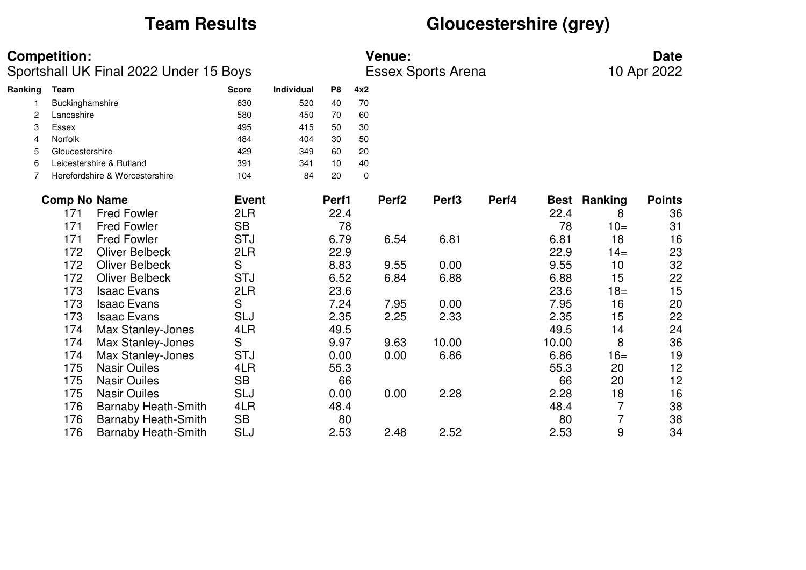## **Team Results Gloucestershire (grey)**

|         | <b>Competition:</b><br>Sportshall UK Final 2022 Under 15 Boys |                                |              |            | <b>Venue:</b><br><b>Essex Sports Arena</b> |             |                   |                   |       |       | <b>Date</b><br>10 Apr 2022 |               |  |
|---------|---------------------------------------------------------------|--------------------------------|--------------|------------|--------------------------------------------|-------------|-------------------|-------------------|-------|-------|----------------------------|---------------|--|
| Ranking | <b>Team</b>                                                   |                                | <b>Score</b> | Individual | P <sub>8</sub>                             | 4x2         |                   |                   |       |       |                            |               |  |
|         | Buckinghamshire                                               |                                | 630          | 520        | 40                                         | 70          |                   |                   |       |       |                            |               |  |
| 2       | Lancashire                                                    |                                | 580          | 450        | 70                                         | 60          |                   |                   |       |       |                            |               |  |
| 3       | Essex                                                         |                                | 495          | 415        | 50                                         | 30          |                   |                   |       |       |                            |               |  |
| 4       | <b>Norfolk</b>                                                |                                | 484          | 404        | 30                                         | 50          |                   |                   |       |       |                            |               |  |
| 5       | Gloucestershire                                               |                                | 429          | 349        | 60                                         | 20          |                   |                   |       |       |                            |               |  |
| 6       |                                                               | Leicestershire & Rutland       | 391          | 341        | 10                                         | 40          |                   |                   |       |       |                            |               |  |
| 7       |                                                               | Herefordshire & Worcestershire | 104          | 84         | 20                                         | $\mathbf 0$ |                   |                   |       |       |                            |               |  |
|         | <b>Comp No Name</b>                                           |                                | <b>Event</b> |            | Perf1                                      |             | Perf <sub>2</sub> | Perf <sub>3</sub> | Perf4 |       | <b>Best Ranking</b>        | <b>Points</b> |  |
|         | 171                                                           | <b>Fred Fowler</b>             | 2LR          |            | 22.4                                       |             |                   |                   |       | 22.4  | 8                          | 36            |  |
|         | 171                                                           | <b>Fred Fowler</b>             | <b>SB</b>    |            | 78                                         |             |                   |                   |       | 78    | $10=$                      | 31            |  |
|         | 171                                                           | <b>Fred Fowler</b>             | <b>STJ</b>   |            | 6.79                                       |             | 6.54              | 6.81              |       | 6.81  | 18                         | 16            |  |
|         | 172                                                           | <b>Oliver Belbeck</b>          | 2LR          |            | 22.9                                       |             |                   |                   |       | 22.9  | $14=$                      | 23            |  |
|         | 172                                                           | <b>Oliver Belbeck</b>          | S            |            | 8.83                                       |             | 9.55              | 0.00              |       | 9.55  | 10                         | 32            |  |
|         | 172                                                           | <b>Oliver Belbeck</b>          | <b>STJ</b>   |            | 6.52                                       |             | 6.84              | 6.88              |       | 6.88  | 15                         | 22            |  |
|         | 173                                                           | <b>Isaac Evans</b>             | 2LR          |            | 23.6                                       |             |                   |                   |       | 23.6  | $18 =$                     | 15            |  |
|         | 173                                                           | <b>Isaac Evans</b>             | S            |            | 7.24                                       |             | 7.95              | 0.00              |       | 7.95  | 16                         | 20            |  |
|         | 173                                                           | <b>Isaac Evans</b>             | <b>SLJ</b>   |            | 2.35                                       |             | 2.25              | 2.33              |       | 2.35  | 15                         | 22            |  |
|         | 174                                                           | Max Stanley-Jones              | 4LR          |            | 49.5                                       |             |                   |                   |       | 49.5  | 14                         | 24            |  |
|         | 174                                                           | Max Stanley-Jones              | S            |            | 9.97                                       |             | 9.63              | 10.00             |       | 10.00 | 8                          | 36            |  |
|         | 174                                                           | Max Stanley-Jones              | <b>STJ</b>   |            | 0.00                                       |             | 0.00              | 6.86              |       | 6.86  | $16=$                      | 19            |  |
|         | 175                                                           | <b>Nasir Ouiles</b>            | 4LR          |            | 55.3                                       |             |                   |                   |       | 55.3  | 20                         | 12            |  |
|         | 175                                                           | <b>Nasir Ouiles</b>            | <b>SB</b>    |            | 66                                         |             |                   |                   |       | 66    | 20                         | 12            |  |
|         | 175                                                           | <b>Nasir Ouiles</b>            | <b>SLJ</b>   |            | 0.00                                       |             | 0.00              | 2.28              |       | 2.28  | 18                         | 16            |  |
|         | 176                                                           | <b>Barnaby Heath-Smith</b>     | 4LR          |            | 48.4                                       |             |                   |                   |       | 48.4  | 7                          | 38            |  |
|         | 176                                                           | <b>Barnaby Heath-Smith</b>     | <b>SB</b>    |            | 80                                         |             |                   |                   |       | 80    | 7                          | 38            |  |
|         | 176                                                           | <b>Barnaby Heath-Smith</b>     | <b>SLJ</b>   |            | 2.53                                       |             | 2.48              | 2.52              |       | 2.53  | 9                          | 34            |  |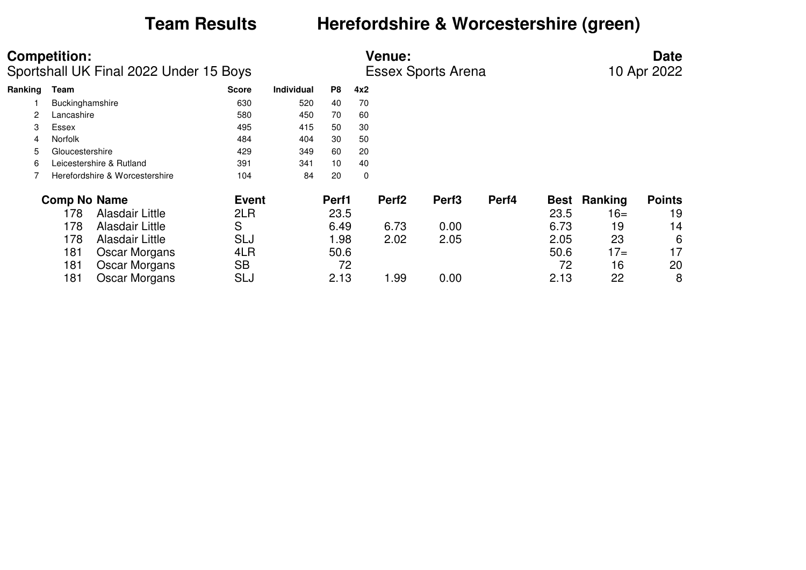## **Team Results Herefordshire & Worcestershire (green)**

|         | <b>Competition:</b><br>Sportshall UK Final 2022 Under 15 Boys<br>Team |                                |              |                   | <b>Venue:</b><br><b>Essex Sports Arena</b> |             |                   |                   |       |             |                | <b>Date</b><br>10 Apr 2022 |  |  |
|---------|-----------------------------------------------------------------------|--------------------------------|--------------|-------------------|--------------------------------------------|-------------|-------------------|-------------------|-------|-------------|----------------|----------------------------|--|--|
| Ranking |                                                                       |                                | <b>Score</b> | <b>Individual</b> | P8                                         | 4x2         |                   |                   |       |             |                |                            |  |  |
|         | Buckinghamshire                                                       |                                | 630          | 520               | 40                                         | 70          |                   |                   |       |             |                |                            |  |  |
| 2       | Lancashire                                                            |                                | 580          | 450               | 70                                         | 60          |                   |                   |       |             |                |                            |  |  |
| 3       | Essex                                                                 |                                | 495          | 415               | 50                                         | 30          |                   |                   |       |             |                |                            |  |  |
| 4       | <b>Norfolk</b>                                                        |                                | 484          | 404               | 30                                         | 50          |                   |                   |       |             |                |                            |  |  |
| 5       | Gloucestershire                                                       |                                | 429          | 349               | 60                                         | 20          |                   |                   |       |             |                |                            |  |  |
| 6       |                                                                       | Leicestershire & Rutland       | 391          | 341               | 10                                         | 40          |                   |                   |       |             |                |                            |  |  |
|         |                                                                       | Herefordshire & Worcestershire | 104          | 84                | 20                                         | $\mathbf 0$ |                   |                   |       |             |                |                            |  |  |
|         | <b>Comp No Name</b>                                                   |                                | <b>Event</b> |                   | Perf1                                      |             | Perf <sub>2</sub> | Perf <sub>3</sub> | Perf4 | <b>Best</b> | <b>Ranking</b> | <b>Points</b>              |  |  |
|         | 178                                                                   | Alasdair Little                | 2LR          |                   | 23.5                                       |             |                   |                   |       | 23.5        | $16=$          | 19                         |  |  |
|         | 178                                                                   | Alasdair Little                | S            |                   | 6.49                                       |             | 6.73              | 0.00              |       | 6.73        | 19             | 14                         |  |  |
|         | 178                                                                   | Alasdair Little                | <b>SLJ</b>   |                   | 1.98                                       |             | 2.02              | 2.05              |       | 2.05        | 23             | 6                          |  |  |
|         | 181                                                                   | Oscar Morgans                  | 4LR          |                   | 50.6                                       |             |                   |                   |       | 50.6        | $17=$          | 17                         |  |  |
|         | 181                                                                   | <b>Oscar Morgans</b>           | <b>SB</b>    |                   | 72                                         |             |                   |                   |       | 72          | 16             | 20                         |  |  |
|         | 181                                                                   | Oscar Morgans                  | SLJ          |                   | 2.13                                       |             | 1.99              | 0.00              |       | 2.13        | 22             | 8                          |  |  |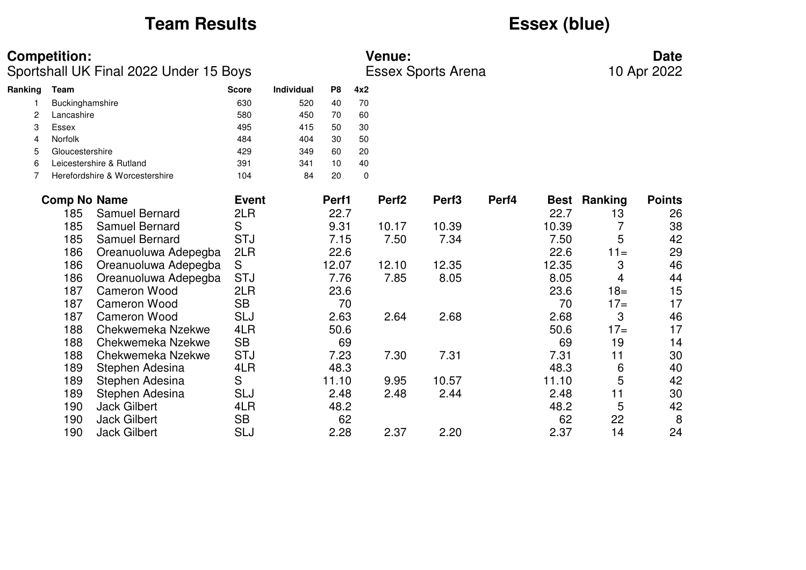## **Team Results Essex (blue)**

### **Competition: Venue: Date**

Sportshall UK Final 2022 Under 15 Boys Essex Sports Arena 10 Apr 2022

| Ranking | Team                           | <b>Score</b> | <b>Individual</b> | P8 | 4x2      |
|---------|--------------------------------|--------------|-------------------|----|----------|
|         | Buckinghamshire                | 630          | 520               | 40 | 70       |
| 2       | Lancashire                     | 580          | 450               | 70 | 60       |
| З       | Essex                          | 495          | 415               | 50 | 30       |
| 4       | <b>Norfolk</b>                 | 484          | 404               | 30 | 50       |
| 5       | Gloucestershire                | 429          | 349               | 60 | 20       |
| 6       | Leicestershire & Rutland       | 391          | 341               | 10 | 40       |
|         | Herefordshire & Worcestershire | 104          | 84                | 20 | $\Omega$ |
|         |                                |              |                   |    |          |

| <b>Comp No Name</b> |                       | <b>Event</b> | Perf1 | Perf <sub>2</sub> | Perf <sub>3</sub> | Perf4 |       | <b>Best Ranking</b> | <b>Points</b> |
|---------------------|-----------------------|--------------|-------|-------------------|-------------------|-------|-------|---------------------|---------------|
| 185                 | <b>Samuel Bernard</b> | 2LR          | 22.7  |                   |                   |       | 22.7  | 13                  | 26            |
| 185                 | <b>Samuel Bernard</b> | S            | 9.31  | 10.17             | 10.39             |       | 10.39 |                     | 38            |
| 185                 | Samuel Bernard        | <b>STJ</b>   | 7.15  | 7.50              | 7.34              |       | 7.50  | 5                   | 42            |
| 186                 | Oreanuoluwa Adepegba  | 2LR          | 22.6  |                   |                   |       | 22.6  | $11 =$              | 29            |
| 186                 | Oreanuoluwa Adepegba  | S            | 12.07 | 12.10             | 12.35             |       | 12.35 | 3                   | 46            |
| 186                 | Oreanuoluwa Adepegba  | <b>STJ</b>   | 7.76  | 7.85              | 8.05              |       | 8.05  | 4                   | 44            |
| 187                 | Cameron Wood          | 2LR          | 23.6  |                   |                   |       | 23.6  | $18 =$              | 15            |
| 187                 | <b>Cameron Wood</b>   | <b>SB</b>    | 70    |                   |                   |       | 70    | $17=$               | 17            |
| 187                 | Cameron Wood          | <b>SLJ</b>   | 2.63  | 2.64              | 2.68              |       | 2.68  | 3                   | 46            |
| 188                 | Chekwemeka Nzekwe     | 4LR          | 50.6  |                   |                   |       | 50.6  | $17=$               | 17            |
| 188                 | Chekwemeka Nzekwe     | <b>SB</b>    | 69    |                   |                   |       | 69    | 19                  | 14            |
| 188                 | Chekwemeka Nzekwe     | <b>STJ</b>   | 7.23  | 7.30              | 7.31              |       | 7.31  | 11                  | 30            |
| 189                 | Stephen Adesina       | 4LR          | 48.3  |                   |                   |       | 48.3  | 6                   | 40            |
| 189                 | Stephen Adesina       | S            | 11.10 | 9.95              | 10.57             |       | 11.10 | 5                   | 42            |
| 189                 | Stephen Adesina       | <b>SLJ</b>   | 2.48  | 2.48              | 2.44              |       | 2.48  | 11                  | 30            |
| 190                 | <b>Jack Gilbert</b>   | 4LR          | 48.2  |                   |                   |       | 48.2  | 5                   | 42            |
| 190                 | <b>Jack Gilbert</b>   | <b>SB</b>    | 62    |                   |                   |       | 62    | 22                  | 8             |
| 190                 | <b>Jack Gilbert</b>   | <b>SLJ</b>   | 2.28  | 2.37              | 2.20              |       | 2.37  | 14                  | 24            |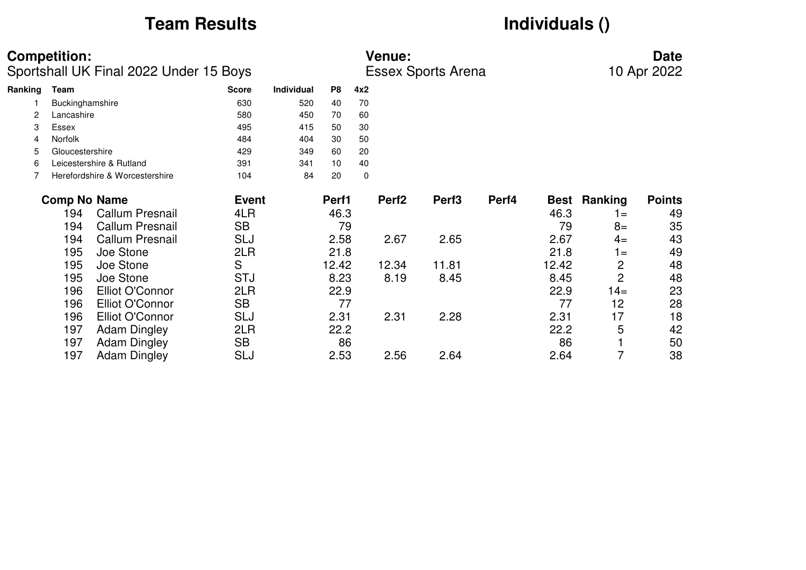## **Team Results Individuals ()**

|         | <b>Competition:</b><br>Sportshall UK Final 2022 Under 15 Boys |                                |              |                   | <b>Venue:</b><br><b>Essex Sports Arena</b> |             |                   |                   |       |             |                | <b>Date</b><br>10 Apr 2022 |  |
|---------|---------------------------------------------------------------|--------------------------------|--------------|-------------------|--------------------------------------------|-------------|-------------------|-------------------|-------|-------------|----------------|----------------------------|--|
| Ranking | Team                                                          |                                | <b>Score</b> | <b>Individual</b> | P8                                         | 4x2         |                   |                   |       |             |                |                            |  |
|         | Buckinghamshire                                               |                                | 630          | 520               | 40                                         | 70          |                   |                   |       |             |                |                            |  |
| 2       | Lancashire                                                    |                                | 580          | 450               | 70                                         | 60          |                   |                   |       |             |                |                            |  |
| 3       | Essex                                                         |                                | 495          | 415               | 50                                         | 30          |                   |                   |       |             |                |                            |  |
| 4       | <b>Norfolk</b>                                                |                                | 484          | 404               | 30                                         | 50          |                   |                   |       |             |                |                            |  |
| 5       | Gloucestershire                                               |                                | 429          | 349               | 60                                         | 20          |                   |                   |       |             |                |                            |  |
| 6       |                                                               | Leicestershire & Rutland       | 391          | 341               | 10                                         | 40          |                   |                   |       |             |                |                            |  |
|         |                                                               | Herefordshire & Worcestershire | 104          | 84                | 20                                         | $\mathbf 0$ |                   |                   |       |             |                |                            |  |
|         | <b>Comp No Name</b>                                           |                                | <b>Event</b> |                   | Perf1                                      |             | Perf <sub>2</sub> | Perf <sub>3</sub> | Perf4 | <b>Best</b> | Ranking        | <b>Points</b>              |  |
|         | 194                                                           | <b>Callum Presnail</b>         | 4LR          |                   | 46.3                                       |             |                   |                   |       | 46.3        | $1 =$          | 49                         |  |
|         | 194                                                           | <b>Callum Presnail</b>         | <b>SB</b>    |                   | 79                                         |             |                   |                   |       | 79          | $8=$           | 35                         |  |
|         | 194                                                           | <b>Callum Presnail</b>         | <b>SLJ</b>   |                   | 2.58                                       |             | 2.67              | 2.65              |       | 2.67        | $4=$           | 43                         |  |
|         | 195                                                           | Joe Stone                      | 2LR          |                   | 21.8                                       |             |                   |                   |       | 21.8        | $1 =$          | 49                         |  |
|         | 195                                                           | Joe Stone                      | S            |                   | 12.42                                      |             | 12.34             | 11.81             |       | 12.42       | 2              | 48                         |  |
|         | 195                                                           | Joe Stone                      | <b>STJ</b>   |                   | 8.23                                       |             | 8.19              | 8.45              |       | 8.45        | $\overline{2}$ | 48                         |  |
|         | 196                                                           | Elliot O'Connor                | 2LR          |                   | 22.9                                       |             |                   |                   |       | 22.9        | $14 =$         | 23                         |  |
|         | 196                                                           | Elliot O'Connor                | <b>SB</b>    |                   | 77                                         |             |                   |                   |       | 77          | 12             | 28                         |  |
|         | 196                                                           | Elliot O'Connor                | SLJ          |                   | 2.31                                       |             | 2.31              | 2.28              |       | 2.31        | 17             | 18                         |  |
|         | 197                                                           | <b>Adam Dingley</b>            | 2LR          |                   | 22.2                                       |             |                   |                   |       | 22.2        | 5              | 42                         |  |
|         | 197                                                           | <b>Adam Dingley</b>            | <b>SB</b>    |                   | 86                                         |             |                   |                   |       | 86          |                | 50                         |  |
|         | 197                                                           | <b>Adam Dingley</b>            | SLJ          |                   | 2.53                                       |             | 2.56              | 2.64              |       | 2.64        | 7              | 38                         |  |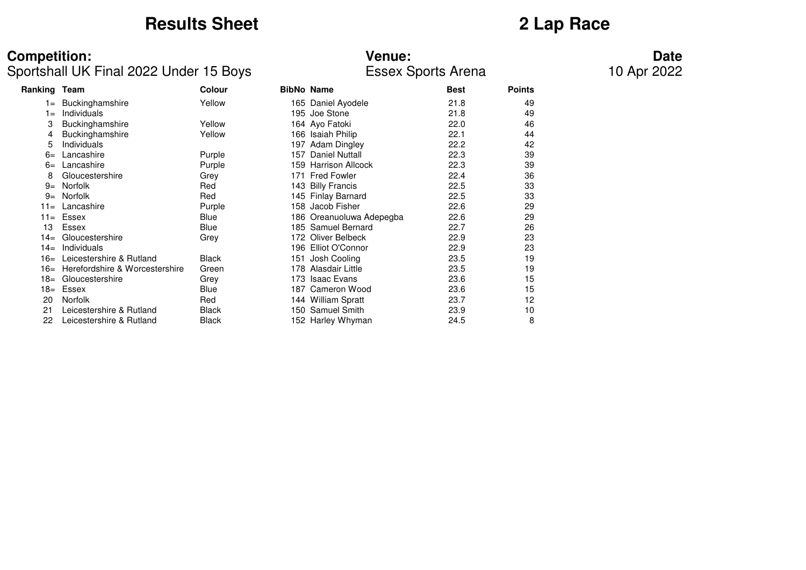## **Results Sheet 2 Lap Race**

### **Competition: Venue: Date**

### Sportshall UK Final 2022 Under 15 Boys Essex Sports Arena 10 Apr 2022

| Ranking Team |                                | <b>Colour</b> |      | <b>BibNo Name</b>        | <b>Best</b> | <b>Points</b> |
|--------------|--------------------------------|---------------|------|--------------------------|-------------|---------------|
| $=$          | Buckinghamshire                | Yellow        |      | 165 Daniel Ayodele       | 21.8        | 49            |
| $1 =$        | Individuals                    |               |      | 195 Joe Stone            | 21.8        | 49            |
| 3            | Buckinghamshire                | Yellow        |      | 164 Ayo Fatoki           | 22.0        | 46            |
| 4            | Buckinghamshire                | Yellow        |      | 166 Isaiah Philip        | 22.1        | 44            |
| 5            | Individuals                    |               | 197  | Adam Dingley             | 22.2        | 42            |
| $6=$         | Lancashire                     | Purple        | 157  | <b>Daniel Nuttall</b>    | 22.3        | 39            |
| $6=$         | Lancashire                     | Purple        | 159  | <b>Harrison Allcock</b>  | 22.3        | 39            |
| 8            | Gloucestershire                | Grey          | 171  | <b>Fred Fowler</b>       | 22.4        | 36            |
| $9=$         | Norfolk                        | Red           |      | 143 Billy Francis        | 22.5        | 33            |
| $9=$         | <b>Norfolk</b>                 | Red           |      | 145 Finlay Barnard       | 22.5        | 33            |
| $11 =$       | Lancashire                     | Purple        |      | 158 Jacob Fisher         | 22.6        | 29            |
| $11 =$       | Essex                          | Blue          |      | 186 Oreanuoluwa Adepegba | 22.6        | 29            |
| 13           | Essex                          | Blue          |      | 185 Samuel Bernard       | 22.7        | 26            |
| $14=$        | Gloucestershire                | Grey          | 172  | Oliver Belbeck           | 22.9        | 23            |
| $14=$        | Individuals                    |               |      | 196 Elliot O'Connor      | 22.9        | 23            |
| $16=$        | Leicestershire & Rutland       | <b>Black</b>  | 151  | Josh Cooling             | 23.5        | 19            |
| 16=          | Herefordshire & Worcestershire | Green         |      | 178 Alasdair Little      | 23.5        | 19            |
| 18=          | Gloucestershire                | Grey          | 173. | <b>Isaac Evans</b>       | 23.6        | 15            |
| 18=          | Essex                          | Blue          | 187. | Cameron Wood             | 23.6        | 15            |
| 20           | <b>Norfolk</b>                 | Red           |      | 144 William Spratt       | 23.7        | 12            |
| 21           | Leicestershire & Rutland       | <b>Black</b>  |      | 150 Samuel Smith         | 23.9        | 10            |
| 22           | Leicestershire & Rutland       | <b>Black</b>  |      | 152 Harley Whyman        | 24.5        | 8             |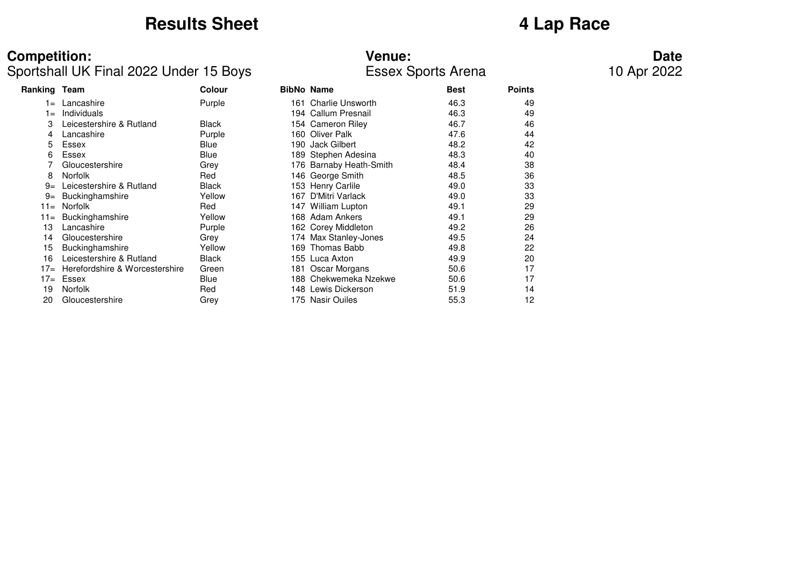## **Results Sheet 4 Lap Race**

### **Competition: Venue: Date**

### Sportshall UK Final 2022 Under 15 Boys Essex Sports Arena 10 Apr 2022

|                                |              |               |                            |                                                                                                                                                                                                                                                                                                   | <b>Points</b> |
|--------------------------------|--------------|---------------|----------------------------|---------------------------------------------------------------------------------------------------------------------------------------------------------------------------------------------------------------------------------------------------------------------------------------------------|---------------|
| Lancashire                     | Purple       |               | <b>Charlie Unsworth</b>    | 46.3                                                                                                                                                                                                                                                                                              | 49            |
| Individuals                    |              |               |                            | 46.3                                                                                                                                                                                                                                                                                              | 49            |
| Leicestershire & Rutland       | <b>Black</b> |               |                            | 46.7                                                                                                                                                                                                                                                                                              | 46            |
| Lancashire                     | Purple       |               | <b>Oliver Palk</b>         | 47.6                                                                                                                                                                                                                                                                                              | 44            |
| Essex                          | Blue         |               | <b>Jack Gilbert</b>        | 48.2                                                                                                                                                                                                                                                                                              | 42            |
| Essex                          | Blue         |               |                            | 48.3                                                                                                                                                                                                                                                                                              | 40            |
| Gloucestershire                | Grey         |               | <b>Barnaby Heath-Smith</b> | 48.4                                                                                                                                                                                                                                                                                              | 38            |
| <b>Norfolk</b>                 | Red          |               |                            | 48.5                                                                                                                                                                                                                                                                                              | 36            |
| Leicestershire & Rutland       | <b>Black</b> |               |                            | 49.0                                                                                                                                                                                                                                                                                              | 33            |
| <b>Buckinghamshire</b>         | Yellow       | 167           | D'Mitri Varlack            | 49.0                                                                                                                                                                                                                                                                                              | 33            |
| <b>Norfolk</b>                 | Red          |               | William Lupton             | 49.1                                                                                                                                                                                                                                                                                              | 29            |
| Buckinghamshire                | Yellow       |               |                            | 49.1                                                                                                                                                                                                                                                                                              | 29            |
| Lancashire                     | Purple       |               |                            | 49.2                                                                                                                                                                                                                                                                                              | 26            |
| Gloucestershire                | Grey         |               |                            | 49.5                                                                                                                                                                                                                                                                                              | 24            |
| Buckinghamshire                | Yellow       |               | Thomas Babb                | 49.8                                                                                                                                                                                                                                                                                              | 22            |
| Leicestershire & Rutland       | <b>Black</b> |               |                            | 49.9                                                                                                                                                                                                                                                                                              | 20            |
| Herefordshire & Worcestershire | Green        | 181           | Oscar Morgans              | 50.6                                                                                                                                                                                                                                                                                              | 17            |
| Essex                          | Blue         |               | Chekwemeka Nzekwe          | 50.6                                                                                                                                                                                                                                                                                              | 17            |
| Norfolk                        | Red          |               | Lewis Dickerson            | 51.9                                                                                                                                                                                                                                                                                              | 14            |
| Gloucestershire                | Grey         |               |                            | 55.3                                                                                                                                                                                                                                                                                              | 12            |
|                                | Ranking Team | <b>Colour</b> |                            | <b>BibNo Name</b><br>161<br>194 Callum Presnail<br>154 Cameron Riley<br>160<br>190<br>189 Stephen Adesina<br>176.<br>146 George Smith<br>153 Henry Carlile<br>147.<br>168 Adam Ankers<br>162 Corey Middleton<br>174 Max Stanley-Jones<br>169<br>155 Luca Axton<br>188<br>148.<br>175 Nasir Ouiles | <b>Best</b>   |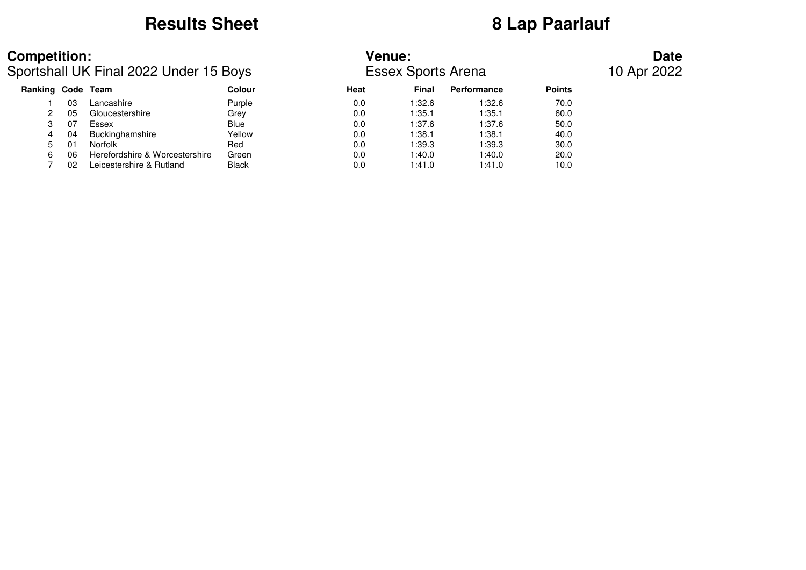## **Results Sheet 8 Lap Paarlauf**

### **Competition: Venue: Date**

### Sportshall UK Final 2022 Under 15 Boys Essex Sports Arena 10 Apr 2022

| Ranking Code Team |    |                                | <b>Colour</b> | Heat | Final  | <b>Performance</b> | <b>Points</b> |  |
|-------------------|----|--------------------------------|---------------|------|--------|--------------------|---------------|--|
|                   | 03 | Lancashire                     | Purple        | 0.0  | 1:32.6 | 1:32.6             | 70.0          |  |
|                   | 05 | Gloucestershire                | Grey          | 0.0  | 1:35.1 | 1:35.1             | 60.0          |  |
|                   | 07 | Essex                          | Blue          | 0.0  | 1:37.6 | 1:37.6             | 50.0          |  |
| 4                 | 04 | Buckinghamshire                | Yellow        | 0.0  | 1:38.1 | 1:38.1             | 40.0          |  |
| $5 -$             | 01 | Norfolk                        | Red           | 0.0  | 1:39.3 | 1:39.3             | 30.0          |  |
| 6                 | 06 | Herefordshire & Worcestershire | Green         | 0.0  | 1:40.0 | 1:40.0             | 20.0          |  |
|                   | 02 | Leicestershire & Rutland       | <b>Black</b>  | 0.0  | 1:41.0 | 1:41.0             | 10.0          |  |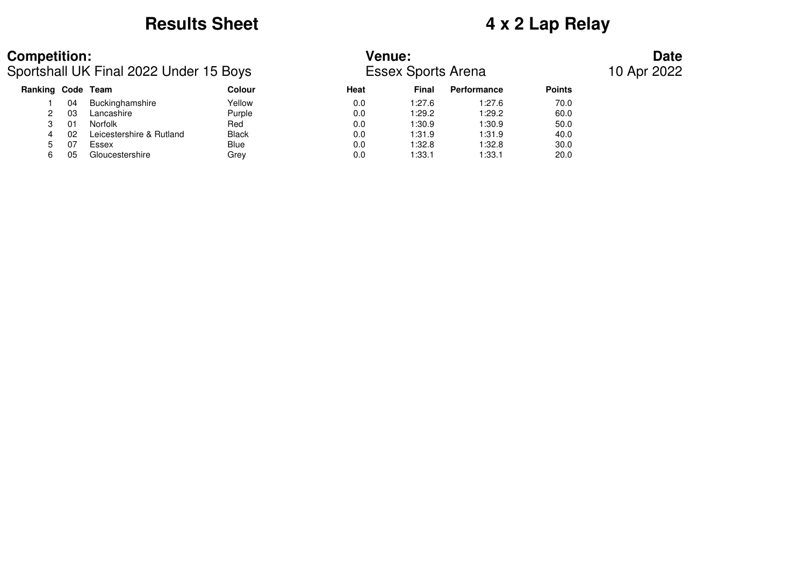## **Results Sheet 4 x 2 Lap Relay**

### **Competition: Venue: Date**

Sportshall UK Final 2022 Under 15 Boys Essex Sports Arena 10 Apr 2022

| Ranking Code Team |    |                          | Colour       | Heat | <b>Final</b> | Performance | <b>Points</b> |
|-------------------|----|--------------------------|--------------|------|--------------|-------------|---------------|
|                   | 04 | Buckinghamshire          | Yellow       | 0.0  | 1:27.6       | 1:27.6      | 70.0          |
|                   | 03 | Lancashire               | Purple       | 0.0  | 1:29.2       | 1:29.2      | 60.0          |
|                   | 01 | <b>Norfolk</b>           | Red          | 0.0  | 1:30.9       | 1:30.9      | 50.0          |
| 4                 | 02 | Leicestershire & Rutland | <b>Black</b> | 0.0  | 1:31.9       | 1:31.9      | 40.0          |
| 5.                | 07 | Essex                    | <b>Blue</b>  | 0.0  | 1:32.8       | 1:32.8      | 30.0          |
|                   | 05 | Gloucestershire          | Grev         | 0.0  | 1:33.1       | 1:33.1      | 20.0          |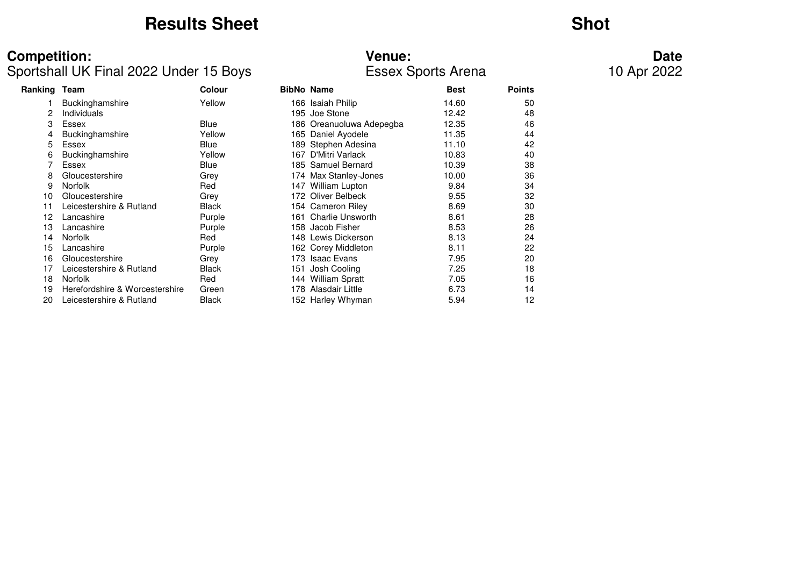## **Results Sheet**

## **Shot**

### Sportshall UK Final 2022 Under 15 Boys Essex Sports Arena 10 Apr 2022

| <b>Competition:</b>                    | <b>Venue:</b>             | Date        |
|----------------------------------------|---------------------------|-------------|
| Sportshall UK Final 2022 Under 15 Boys | <b>Essex Sports Arena</b> | 10 Apr 2022 |

| Ranking Team |                                | <b>Colour</b> |     | <b>BibNo Name</b>        | <b>Best</b> | <b>Points</b> |
|--------------|--------------------------------|---------------|-----|--------------------------|-------------|---------------|
|              | <b>Buckinghamshire</b>         | Yellow        |     | 166 Isaiah Philip        | 14.60       | 50            |
| 2            | Individuals                    |               |     | 195 Joe Stone            | 12.42       | 48            |
| 3            | Essex                          | Blue          |     | 186 Oreanuoluwa Adepegba | 12.35       | 46            |
|              | Buckinghamshire                | Yellow        |     | 165 Daniel Ayodele       | 11.35       | 44            |
| 5            | Essex                          | Blue          |     | 189 Stephen Adesina      | 11.10       | 42            |
| 6            | Buckinghamshire                | Yellow        |     | 167 D'Mitri Varlack      | 10.83       | 40            |
|              | Essex                          | Blue          |     | 185 Samuel Bernard       | 10.39       | 38            |
| 8            | Gloucestershire                | Grey          |     | 174 Max Stanley-Jones    | 10.00       | 36            |
| 9            | <b>Norfolk</b>                 | Red           |     | 147 William Lupton       | 9.84        | 34            |
| 10           | Gloucestershire                | Grey          |     | 172 Oliver Belbeck       | 9.55        | 32            |
| 11           | Leicestershire & Rutland       | <b>Black</b>  |     | 154 Cameron Riley        | 8.69        | 30            |
| 12           | Lancashire                     | Purple        |     | 161 Charlie Unsworth     | 8.61        | 28            |
| 13           | Lancashire                     | Purple        |     | 158 Jacob Fisher         | 8.53        | 26            |
| 14           | <b>Norfolk</b>                 | Red           |     | 148 Lewis Dickerson      | 8.13        | 24            |
| 15           | Lancashire                     | Purple        |     | 162 Corey Middleton      | 8.11        | 22            |
| 16           | Gloucestershire                | Grey          |     | 173 Isaac Evans          | 7.95        | 20            |
| 17           | Leicestershire & Rutland       | <b>Black</b>  | 151 | Josh Cooling             | 7.25        | 18            |
| 18           | <b>Norfolk</b>                 | Red           |     | 144 William Spratt       | 7.05        | 16            |
| 19           | Herefordshire & Worcestershire | Green         |     | 178 Alasdair Little      | 6.73        | 14            |
| 20           | Leicestershire & Rutland       | <b>Black</b>  |     | 152 Harley Whyman        | 5.94        | 12            |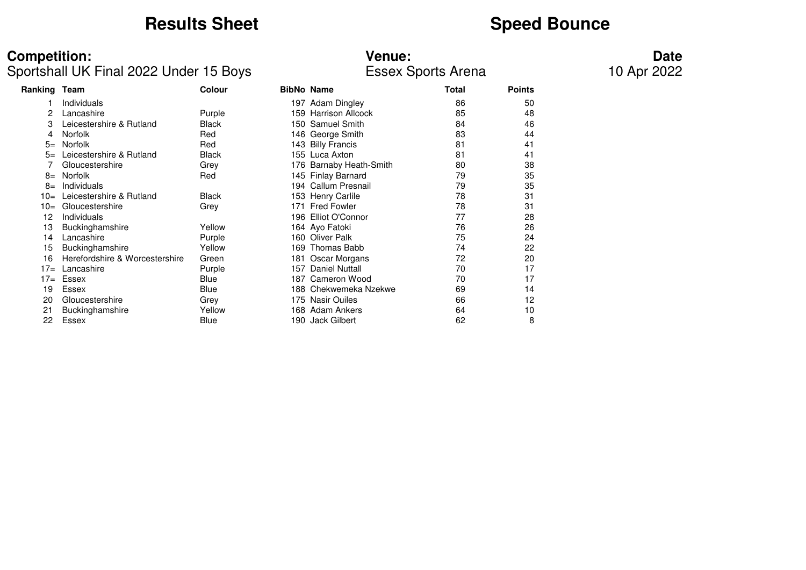## **Results Sheet**<br> **Speed Bounce**

### Sportshall UK Final 2022 Under 15 Boys Essex Sports Arena 10 Apr 2022

# **Competition: Venue: Date**

| Ranking Team |                                | Colour       |      | <b>BibNo Name</b>       | Total | <b>Points</b> |  |
|--------------|--------------------------------|--------------|------|-------------------------|-------|---------------|--|
|              | Individuals                    |              |      | 197 Adam Dingley        | 86    | 50            |  |
| 2            | Lancashire                     | Purple       | 159. | <b>Harrison Allcock</b> | 85    | 48            |  |
| 3            | Leicestershire & Rutland       | <b>Black</b> |      | 150 Samuel Smith        | 84    | 46            |  |
| 4            | <b>Norfolk</b>                 | Red          |      | 146 George Smith        | 83    | 44            |  |
| $5=$         | <b>Norfolk</b>                 | Red          |      | 143 Billy Francis       | 81    | 41            |  |
| $5=$         | Leicestershire & Rutland       | <b>Black</b> |      | 155 Luca Axton          | 81    | 41            |  |
|              | Gloucestershire                | Grey         |      | 176 Barnaby Heath-Smith | 80    | 38            |  |
| 8=           | <b>Norfolk</b>                 | Red          |      | 145 Finlay Barnard      | 79    | 35            |  |
| $8=$         | Individuals                    |              |      | 194 Callum Presnail     | 79    | 35            |  |
| $10=$        | Leicestershire & Rutland       | <b>Black</b> |      | 153 Henry Carlile       | 78    | 31            |  |
| $10=$        | Gloucestershire                | Grey         | 171  | Fred Fowler             | 78    | 31            |  |
| 12           | Individuals                    |              |      | 196 Elliot O'Connor     | 77    | 28            |  |
| 13           | <b>Buckinghamshire</b>         | Yellow       |      | 164 Ayo Fatoki          | 76    | 26            |  |
| 14           | Lancashire                     | Purple       |      | 160 Oliver Palk         | 75    | 24            |  |
| 15           | Buckinghamshire                | Yellow       |      | 169 Thomas Babb         | 74    | 22            |  |
| 16           | Herefordshire & Worcestershire | Green        | 181  | Oscar Morgans           | 72    | 20            |  |
| $17=$        | Lancashire                     | Purple       | 157  | <b>Daniel Nuttall</b>   | 70    | 17            |  |
| $17=$        | Essex                          | Blue         | 187  | Cameron Wood            | 70    | 17            |  |
| 19           | Essex                          | Blue         |      | 188  Chekwemeka Nzekwe  | 69    | 14            |  |
| 20           | Gloucestershire                | Grey         |      | 175 Nasir Ouiles        | 66    | 12            |  |
| 21           | Buckinghamshire                | Yellow       |      | 168 Adam Ankers         | 64    | 10            |  |
| 22           | Essex                          | <b>Blue</b>  | 190. | Jack Gilbert            | 62    | 8             |  |
|              |                                |              |      |                         |       |               |  |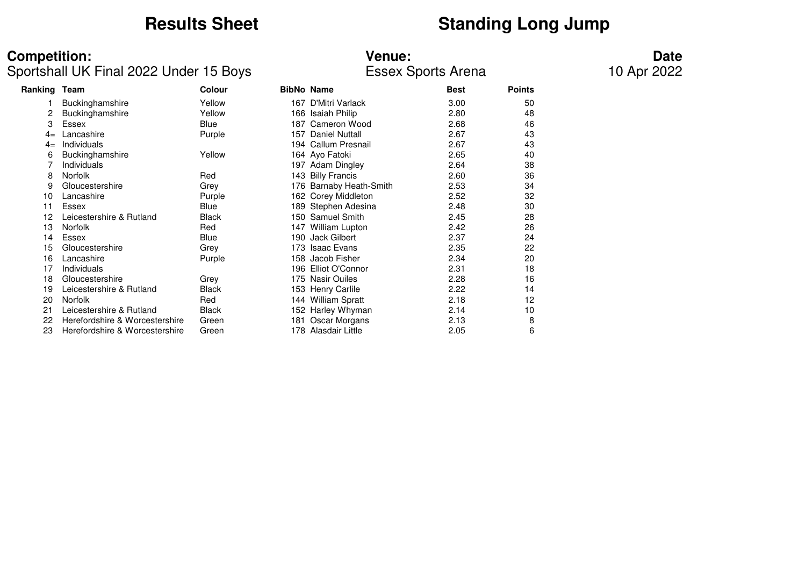## **Results Sheet**<br> **Standing Long Jump**

### **Competition: Venue: Date**

### Sportshall UK Final 2022 Under 15 Boys Essex Sports Arena 10 Apr 2022

| Ranking | Team                           | Colour       |     | <b>BibNo Name</b>       | <b>Best</b> | <b>Points</b> |
|---------|--------------------------------|--------------|-----|-------------------------|-------------|---------------|
|         | Buckinghamshire                | Yellow       | 167 | D'Mitri Varlack         | 3.00        | 50            |
| 2       | Buckinghamshire                | Yellow       | 166 | Isaiah Philip           | 2.80        | 48            |
| 3       | Essex                          | Blue         | 187 | Cameron Wood            | 2.68        | 46            |
| $4=$    | Lancashire                     | Purple       | 157 | <b>Daniel Nuttall</b>   | 2.67        | 43            |
| $4=$    | Individuals                    |              |     | 194 Callum Presnail     | 2.67        | 43            |
| 6       | Buckinghamshire                | Yellow       |     | 164 Ayo Fatoki          | 2.65        | 40            |
|         | Individuals                    |              |     | 197 Adam Dingley        | 2.64        | 38            |
| 8       | <b>Norfolk</b>                 | Red          |     | 143 Billy Francis       | 2.60        | 36            |
| 9       | Gloucestershire                | Grey         |     | 176 Barnaby Heath-Smith | 2.53        | 34            |
| 10      | Lancashire                     | Purple       | 162 | Corey Middleton         | 2.52        | 32            |
| 11      | Essex                          | Blue         | 189 | Stephen Adesina         | 2.48        | 30            |
| 12      | Leicestershire & Rutland       | <b>Black</b> | 150 | <b>Samuel Smith</b>     | 2.45        | 28            |
| 13      | <b>Norfolk</b>                 | Red          | 147 | William Lupton          | 2.42        | 26            |
| 14      | Essex                          | <b>Blue</b>  | 190 | Jack Gilbert            | 2.37        | 24            |
| 15      | Gloucestershire                | Grey         | 173 | <b>Isaac Evans</b>      | 2.35        | 22            |
| 16      | Lancashire                     | Purple       | 158 | Jacob Fisher            | 2.34        | 20            |
| 17      | Individuals                    |              | 196 | Elliot O'Connor         | 2.31        | 18            |
| 18      | Gloucestershire                | Grey         | 175 | <b>Nasir Ouiles</b>     | 2.28        | 16            |
| 19      | Leicestershire & Rutland       | <b>Black</b> |     | 153 Henry Carlile       | 2.22        | 14            |
| 20      | <b>Norfolk</b>                 | Red          | 144 | <b>William Spratt</b>   | 2.18        | 12            |
| 21      | Leicestershire & Rutland       | Black        |     | 152 Harley Whyman       | 2.14        | 10            |
| 22      | Herefordshire & Worcestershire | Green        | 181 | Oscar Morgans           | 2.13        | 8             |
| 23      | Herefordshire & Worcestershire | Green        |     | 178 Alasdair Little     | 2.05        | 6             |